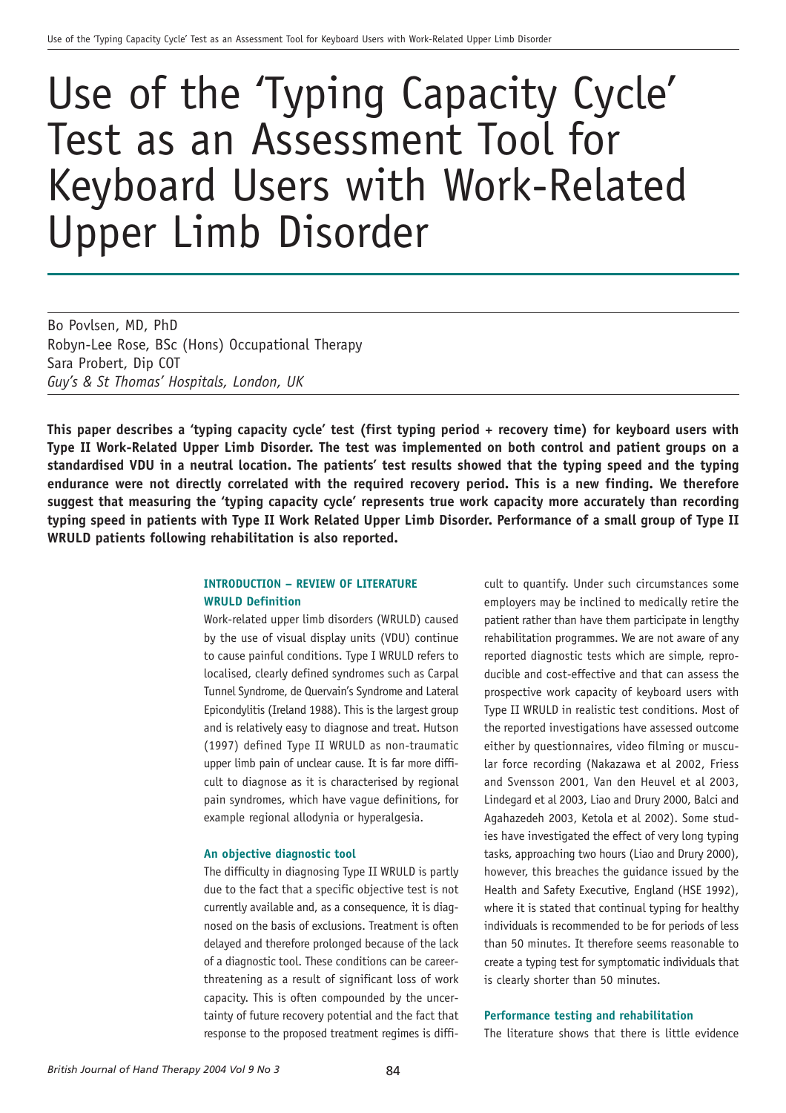# Use of the 'Typing Capacity Cycle' Test as an Assessment Tool for Keyboard Users with Work-Related Upper Limb Disorder

Bo Povlsen, MD, PhD Robyn-Lee Rose, BSc (Hons) Occupational Therapy Sara Probert, Dip COT *Guy's & St Thomas' Hospitals, London, UK*

**This paper describes a 'typing capacity cycle' test (first typing period + recovery time) for keyboard users with Type II Work-Related Upper Limb Disorder. The test was implemented on both control and patient groups on a standardised VDU in a neutral location. The patients' test results showed that the typing speed and the typing endurance were not directly correlated with the required recovery period. This is a new finding. We therefore suggest that measuring the 'typing capacity cycle' represents true work capacity more accurately than recording typing speed in patients with Type II Work Related Upper Limb Disorder. Performance of a small group of Type II WRULD patients following rehabilitation is also reported.**

# **INTRODUCTION – REVIEW OF LITERATURE WRULD Definition**

Work-related upper limb disorders (WRULD) caused by the use of visual display units (VDU) continue to cause painful conditions. Type I WRULD refers to localised, clearly defined syndromes such as Carpal Tunnel Syndrome, de Quervain's Syndrome and Lateral Epicondylitis (Ireland 1988). This is the largest group and is relatively easy to diagnose and treat. Hutson (1997) defined Type II WRULD as non-traumatic upper limb pain of unclear cause. It is far more difficult to diagnose as it is characterised by regional pain syndromes, which have vague definitions, for example regional allodynia or hyperalgesia.

## **An objective diagnostic tool**

The difficulty in diagnosing Type II WRULD is partly due to the fact that a specific objective test is not currently available and, as a consequence, it is diagnosed on the basis of exclusions. Treatment is often delayed and therefore prolonged because of the lack of a diagnostic tool. These conditions can be careerthreatening as a result of significant loss of work capacity. This is often compounded by the uncertainty of future recovery potential and the fact that response to the proposed treatment regimes is difficult to quantify. Under such circumstances some employers may be inclined to medically retire the patient rather than have them participate in lengthy rehabilitation programmes. We are not aware of any reported diagnostic tests which are simple, reproducible and cost-effective and that can assess the prospective work capacity of keyboard users with Type II WRULD in realistic test conditions. Most of the reported investigations have assessed outcome either by questionnaires, video filming or muscular force recording (Nakazawa et al 2002, Friess and Svensson 2001, Van den Heuvel et al 2003, Lindegard et al 2003, Liao and Drury 2000, Balci and Agahazedeh 2003, Ketola et al 2002). Some studies have investigated the effect of very long typing tasks, approaching two hours (Liao and Drury 2000), however, this breaches the guidance issued by the Health and Safety Executive, England (HSE 1992), where it is stated that continual typing for healthy individuals is recommended to be for periods of less than 50 minutes. It therefore seems reasonable to create a typing test for symptomatic individuals that is clearly shorter than 50 minutes.

## **Performance testing and rehabilitation**

The literature shows that there is little evidence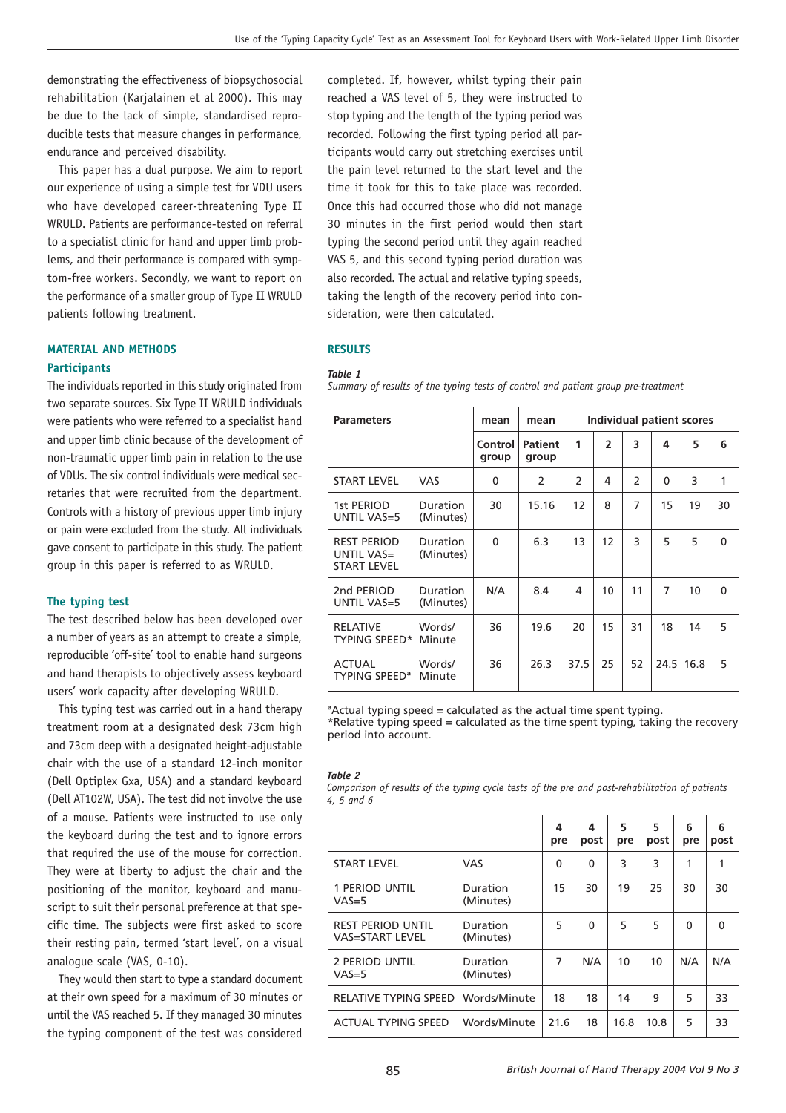demonstrating the effectiveness of biopsychosocial rehabilitation (Karjalainen et al 2000). This may be due to the lack of simple, standardised reproducible tests that measure changes in performance, endurance and perceived disability.

This paper has a dual purpose. We aim to report our experience of using a simple test for VDU users who have developed career-threatening Type II WRULD. Patients are performance-tested on referral to a specialist clinic for hand and upper limb problems, and their performance is compared with symptom-free workers. Secondly, we want to report on the performance of a smaller group of Type II WRULD patients following treatment.

## **MATERIAL AND METHODS Participants**

The individuals reported in this study originated from two separate sources. Six Type II WRULD individuals were patients who were referred to a specialist hand and upper limb clinic because of the development of non-traumatic upper limb pain in relation to the use of VDUs. The six control individuals were medical secretaries that were recruited from the department. Controls with a history of previous upper limb injury or pain were excluded from the study. All individuals gave consent to participate in this study. The patient group in this paper is referred to as WRULD.

### **The typing test**

The test described below has been developed over a number of years as an attempt to create a simple, reproducible 'off-site' tool to enable hand surgeons and hand therapists to objectively assess keyboard users' work capacity after developing WRULD.

This typing test was carried out in a hand therapy treatment room at a designated desk 73cm high and 73cm deep with a designated height-adjustable chair with the use of a standard 12-inch monitor (Dell Optiplex Gxa, USA) and a standard keyboard (Dell AT102W, USA). The test did not involve the use of a mouse. Patients were instructed to use only the keyboard during the test and to ignore errors that required the use of the mouse for correction. They were at liberty to adjust the chair and the positioning of the monitor, keyboard and manuscript to suit their personal preference at that specific time. The subjects were first asked to score their resting pain, termed 'start level', on a visual analogue scale (VAS, 0-10).

They would then start to type a standard document at their own speed for a maximum of 30 minutes or until the VAS reached 5. If they managed 30 minutes the typing component of the test was considered

completed. If, however, whilst typing their pain reached a VAS level of 5, they were instructed to stop typing and the length of the typing period was recorded. Following the first typing period all participants would carry out stretching exercises until the pain level returned to the start level and the time it took for this to take place was recorded. Once this had occurred those who did not manage 30 minutes in the first period would then start typing the second period until they again reached VAS 5, and this second typing period duration was also recorded. The actual and relative typing speeds, taking the length of the recovery period into consideration, were then calculated.

## **RESULTS**

#### *Table 1*

*Summary of results of the typing tests of control and patient group pre-treatment*

| <b>Parameters</b>                                      | mean                         | mean             | Individual patient scores |               |                |               |                |      |          |
|--------------------------------------------------------|------------------------------|------------------|---------------------------|---------------|----------------|---------------|----------------|------|----------|
|                                                        |                              | Control<br>group | <b>Patient</b><br>group   | 1             | $\overline{2}$ | 3             | 4              | 5    | 6        |
| <b>START LEVEL</b>                                     | <b>VAS</b>                   | 0                | $\mathcal{P}$             | $\mathcal{P}$ | 4              | $\mathcal{P}$ | $\Omega$       | 3    | 1        |
| 1st PERIOD<br>UNTIL VAS=5                              | <b>Duration</b><br>(Minutes) | 30               | 15.16                     | 12            | 8              | 7             | 15             | 19   | 30       |
| <b>REST PERIOD</b><br>UNTIL VAS=<br><b>START LEVEL</b> | <b>Duration</b><br>(Minutes) | $\Omega$         | 6.3                       | 13            | 12             | 3             | 5              | 5    | 0        |
| 2nd PERIOD<br>UNTIL VAS=5                              | Duration<br>(Minutes)        | N/A              | 8.4                       | 4             | 10             | 11            | $\overline{7}$ | 10   | $\Omega$ |
| <b>RELATIVE</b><br><b>TYPING SPEED*</b>                | Words/<br>Minute             | 36               | 19.6                      | 20            | 15             | 31            | 18             | 14   | 5        |
| <b>ACTUAL</b><br><b>TYPING SPEED<sup>a</sup></b>       | Words/<br>Minute             | 36               | 26.3                      | 37.5          | 25             | 52            | 24.5           | 16.8 | 5        |

ªActual typing speed = calculated as the actual time spent typing. \*Relative typing speed = calculated as the time spent typing, taking the recovery period into account.

#### *Table 2*

*Comparison of results of the typing cycle tests of the pre and post-rehabilitation of patients 4, 5 and 6*

|                                                    |                       | 4<br>pre | 4<br>post | 5<br>pre | 5<br>post | 6<br>pre | 6<br>post |
|----------------------------------------------------|-----------------------|----------|-----------|----------|-----------|----------|-----------|
| <b>START LEVEL</b>                                 | <b>VAS</b>            | 0        | 0         | 3        | 3         | 1        | 1         |
| 1 PERIOD UNTIL<br>$VAS = 5$                        | Duration<br>(Minutes) | 15       | 30        | 19       | 25        | 30       | 30        |
| <b>REST PERIOD UNTIL</b><br><b>VAS=START LEVEL</b> | Duration<br>(Minutes) | 5        | 0         | 5        | 5         | $\Omega$ | $\Omega$  |
| 2 PERIOD UNTIL<br>$VAS = 5$                        | Duration<br>(Minutes) | 7        | N/A       | 10       | 10        | N/A      | N/A       |
| RELATIVE TYPING SPEED Words/Minute                 |                       | 18       | 18        | 14       | 9         | 5        | 33        |
| <b>ACTUAL TYPING SPEED</b>                         | Words/Minute          | 21.6     | 18        | 16.8     | 10.8      | 5        | 33        |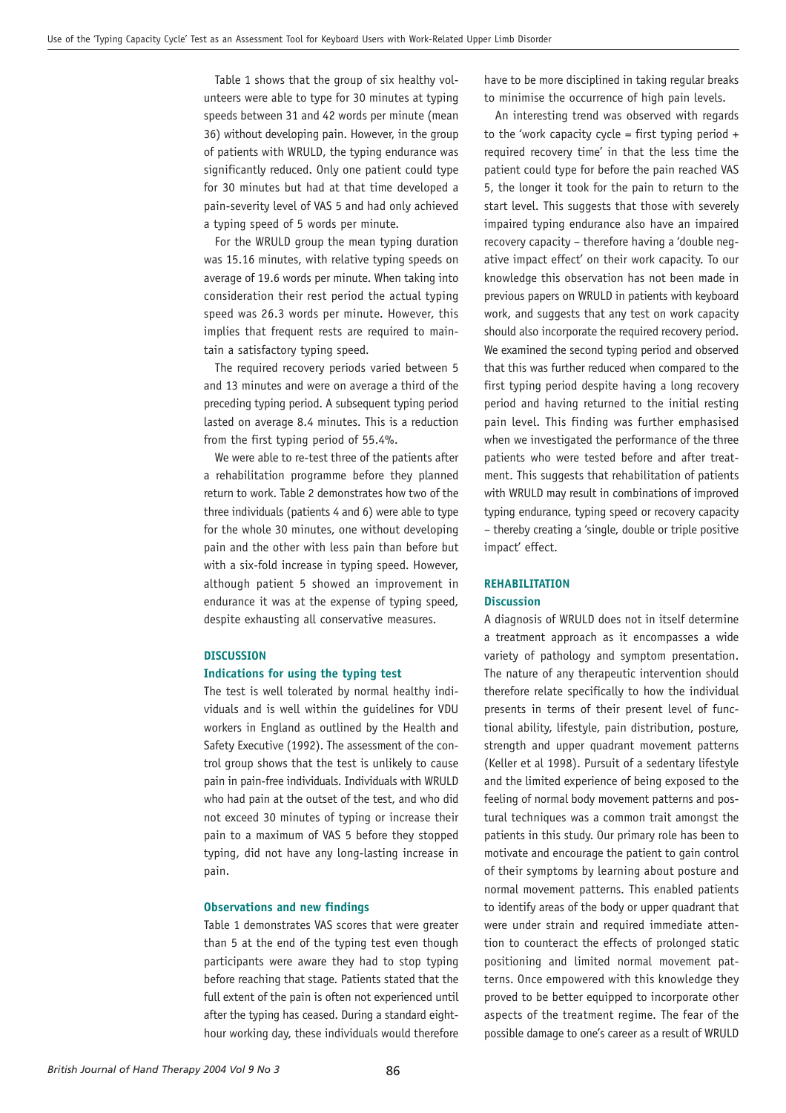Table 1 shows that the group of six healthy volunteers were able to type for 30 minutes at typing speeds between 31 and 42 words per minute (mean 36) without developing pain. However, in the group of patients with WRULD, the typing endurance was significantly reduced. Only one patient could type for 30 minutes but had at that time developed a pain-severity level of VAS 5 and had only achieved a typing speed of 5 words per minute.

For the WRULD group the mean typing duration was 15.16 minutes, with relative typing speeds on average of 19.6 words per minute. When taking into consideration their rest period the actual typing speed was 26.3 words per minute. However, this implies that frequent rests are required to maintain a satisfactory typing speed.

The required recovery periods varied between 5 and 13 minutes and were on average a third of the preceding typing period. A subsequent typing period lasted on average 8.4 minutes. This is a reduction from the first typing period of 55.4%.

We were able to re-test three of the patients after a rehabilitation programme before they planned return to work. Table 2 demonstrates how two of the three individuals (patients 4 and 6) were able to type for the whole 30 minutes, one without developing pain and the other with less pain than before but with a six-fold increase in typing speed. However, although patient 5 showed an improvement in endurance it was at the expense of typing speed, despite exhausting all conservative measures.

#### **DISCUSSION**

#### **Indications for using the typing test**

The test is well tolerated by normal healthy individuals and is well within the guidelines for VDU workers in England as outlined by the Health and Safety Executive (1992). The assessment of the control group shows that the test is unlikely to cause pain in pain-free individuals. Individuals with WRULD who had pain at the outset of the test, and who did not exceed 30 minutes of typing or increase their pain to a maximum of VAS 5 before they stopped typing, did not have any long-lasting increase in pain.

#### **Observations and new findings**

Table 1 demonstrates VAS scores that were greater than 5 at the end of the typing test even though participants were aware they had to stop typing before reaching that stage. Patients stated that the full extent of the pain is often not experienced until after the typing has ceased. During a standard eighthour working day, these individuals would therefore

have to be more disciplined in taking regular breaks to minimise the occurrence of high pain levels.

An interesting trend was observed with regards to the 'work capacity cycle = first typing period  $+$ required recovery time' in that the less time the patient could type for before the pain reached VAS 5, the longer it took for the pain to return to the start level. This suggests that those with severely impaired typing endurance also have an impaired recovery capacity – therefore having a 'double negative impact effect' on their work capacity. To our knowledge this observation has not been made in previous papers on WRULD in patients with keyboard work, and suggests that any test on work capacity should also incorporate the required recovery period. We examined the second typing period and observed that this was further reduced when compared to the first typing period despite having a long recovery period and having returned to the initial resting pain level. This finding was further emphasised when we investigated the performance of the three patients who were tested before and after treatment. This suggests that rehabilitation of patients with WRULD may result in combinations of improved typing endurance, typing speed or recovery capacity – thereby creating a 'single, double or triple positive impact' effect.

# **REHABILITATION Discussion**

A diagnosis of WRULD does not in itself determine a treatment approach as it encompasses a wide variety of pathology and symptom presentation. The nature of any therapeutic intervention should therefore relate specifically to how the individual presents in terms of their present level of functional ability, lifestyle, pain distribution, posture, strength and upper quadrant movement patterns (Keller et al 1998). Pursuit of a sedentary lifestyle and the limited experience of being exposed to the feeling of normal body movement patterns and postural techniques was a common trait amongst the patients in this study. Our primary role has been to motivate and encourage the patient to gain control of their symptoms by learning about posture and normal movement patterns. This enabled patients to identify areas of the body or upper quadrant that were under strain and required immediate attention to counteract the effects of prolonged static positioning and limited normal movement patterns. Once empowered with this knowledge they proved to be better equipped to incorporate other aspects of the treatment regime. The fear of the possible damage to one's career as a result of WRULD